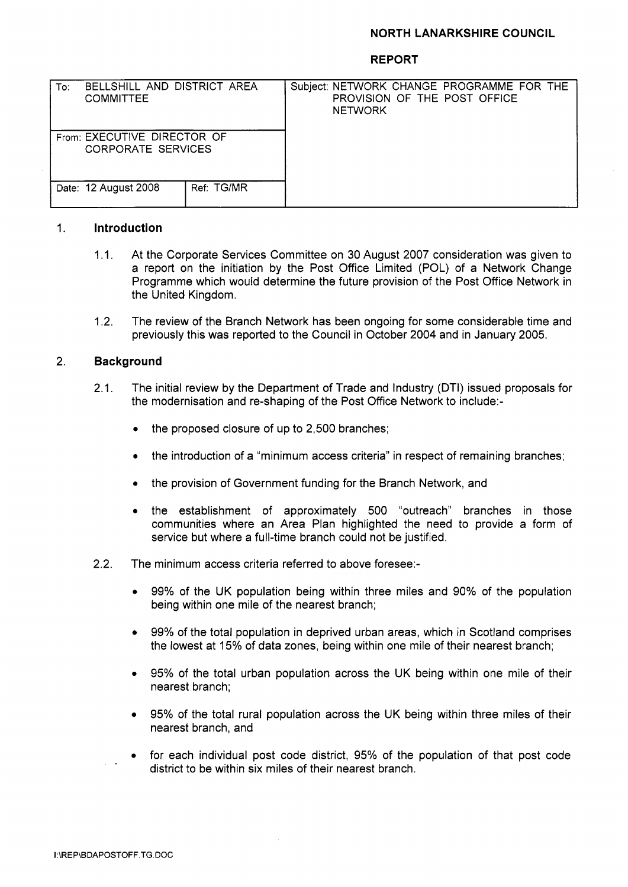## **NORTH LANARKSHIRE COUNCIL**

### **REPORT**

| To:                                                      | BELLSHILL AND DISTRICT AREA<br><b>COMMITTEE</b> |            | <b>NETWORK</b> | Subject: NETWORK CHANGE PROGRAMME FOR THE<br>PROVISION OF THE POST OFFICE |  |
|----------------------------------------------------------|-------------------------------------------------|------------|----------------|---------------------------------------------------------------------------|--|
| From: EXECUTIVE DIRECTOR OF<br><b>CORPORATE SERVICES</b> |                                                 |            |                |                                                                           |  |
|                                                          | Date: 12 August 2008                            | Ref: TG/MR |                |                                                                           |  |

### 1. **Introduction**

- 1 .I. At the Corporate Services Committee on 30 August 2007 consideration was given to a report on the initiation by the Post Office Limited (POL) of a Network Change Programme which would determine the future provision of the Post Office Network in the United Kingdom.
- The review of the Branch Network has been ongoing for some considerable time and previously this was reported to the Council in October 2004 and in January 2005. 1.2.

### 2. **Background**

- 2.1. The initial review by the Department of Trade and Industry (DTI) issued proposals for the modernisation and re-shaping of the Post Office Network to include:-
	- *0*  the proposed closure of up to 2,500 branches;
	- *0*  the introduction of a "minimum access criteria" in respect of remaining branches;
	- *0*  the provision of Government funding for the Branch Network, and
	- *<sup>0</sup>*the establishment of approximately 500 "outreach" branches in those communities where an Area Plan highlighted the need to provide a form of service but where a full-time branch could not be justified.
- 2.2. The minimum access criteria referred to above foresee:-
	- *0* 99% of the UK population being within three miles and 90% of the population being within one mile of the nearest branch;
	- 99% of the total population in deprived urban areas, which in Scotland comprises *0*  the lowest at 15% of data zones, being within one mile of their nearest branch;
	- 95% of the total urban population across the UK being within one mile of their nearest branch; *0*
	- 95% of the total rural population across the UK being within three miles of their nearest branch, and *0*
	- for each individual post code district, 95% of the population of that post code district to be within six miles of their nearest branch. *0*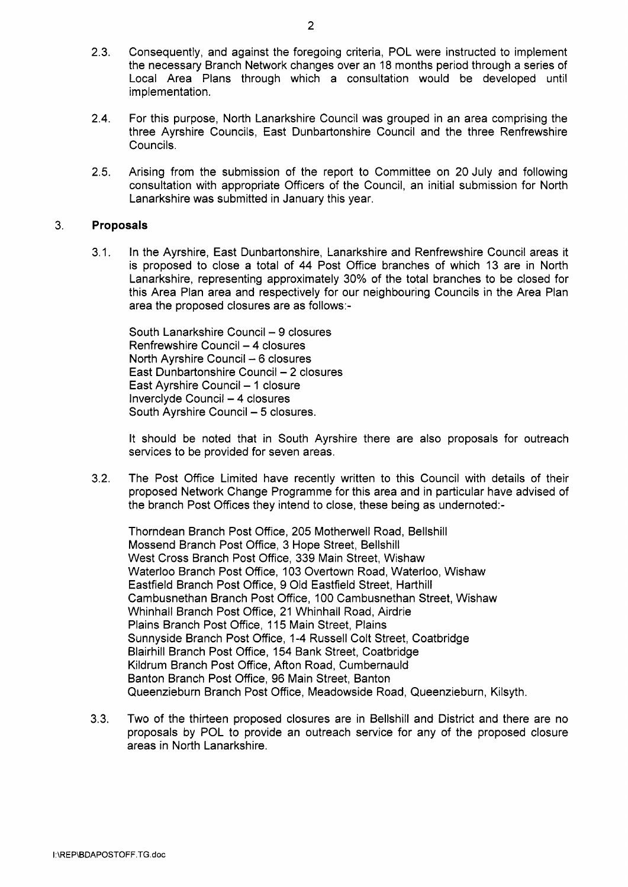- 2.3. Consequently, and against the foregoing criteria, POL were instructed to implement the necessary Branch Network changes over an 18 months period through a series of Local Area Plans through which a consultation would be developed until implementation.
- 2.4. For this purpose, North Lanarkshire Council was grouped in an area comprising the three Ayrshire Councils, East Dunbartonshire Council and the three Renfrewshire Councils.
- 2.5. Arising from the submission of the report to Committee on 20 July and following consultation with appropriate Officers of the Council, an initial submission for North Lanarkshire was submitted in January this year.

#### 3. **Proposals**

3.1. In the Ayrshire, East Dunbartonshire, Lanarkshire and Renfrewshire Council areas it is proposed to close a total of 44 Post Office branches of which 13 are in North Lanarkshire, representing approximately 30% of the total branches to be closed for this Area Plan area and respectively for our neighbouring Councils in the Area Plan area the proposed closures are as follows:-

South Lanarkshire Council - 9 closures Renfrewshire Council - 4 closures North Ayrshire Council  $-6$  closures North Ayrshire Council – 6 closures<br>East Dunbartonshire Council – 2 closures<br>East Ayrshire Council – 1 closure East Ayrshire Council - 1 closure<br>Inverclyde Council - 4 closures South Ayrshire Council - 5 closures.

It should be noted that in South Ayrshire there are also proposals for outreach services to be provided for seven areas.

3.2. The Post Office Limited have recently written to this Council with details of their proposed Network Change Programme for this area and in particular have advised of the branch Post Offices they intend to close, these being as undernoted:-

Thorndean Branch Post Office, 205 Motherwell Road, Bellshill Mossend Branch Post Office, 3 Hope Street, Bellshill West Cross Branch Post Office, 339 Main Street, Wishaw Waterloo Branch Post Office, 103 Overtown Road, Waterloo, Wishaw Eastfield Branch Post Office, 9 Old Eastfield Street, Harthill Cambusnethan Branch Post Office, 100 Cambusnethan Street, Wishaw Whinhall Branch Post Office, 21 Whinhall Road, Airdrie Plains Branch Post Office, 115 Main Street, Plains Sunnyside Branch Post Office, 1-4 Russell Colt Street, Coatbridge Blairhill Branch Post Office, 154 Bank Street, Coatbridge Kildrum Branch Post Office, Afton Road, Cumbernauld Banton Branch Post Office, 96 Main Street, Banton Queenzieburn Branch Post Office, Meadowside Road, Queenzieburn, Kilsyth.

3.3. Two of the thirteen proposed closures are in Bellshill and District and there are no proposals by POL to provide an outreach service for any of the proposed closure areas in North Lanarkshire.